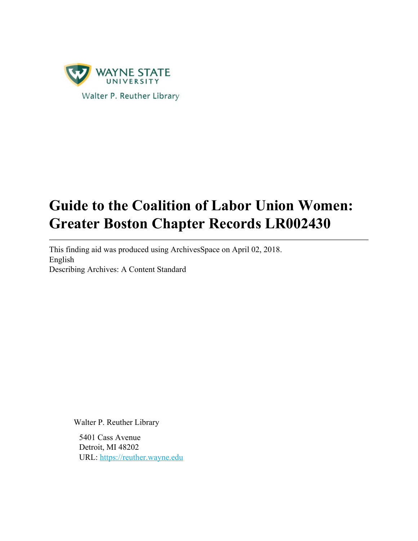

# **Guide to the Coalition of Labor Union Women: Greater Boston Chapter Records LR002430**

This finding aid was produced using ArchivesSpace on April 02, 2018. English Describing Archives: A Content Standard

Walter P. Reuther Library

5401 Cass Avenue Detroit, MI 48202 URL: https://reuther.wayne.edu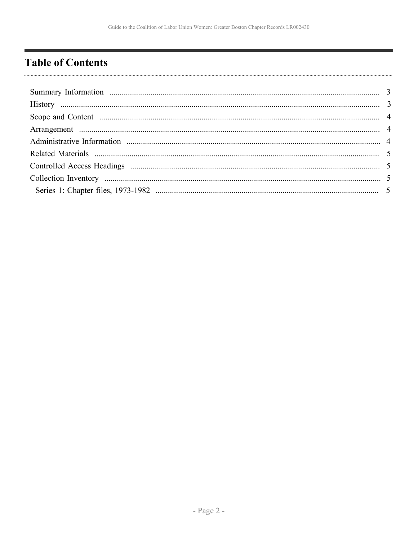# <span id="page-1-0"></span>**Table of Contents**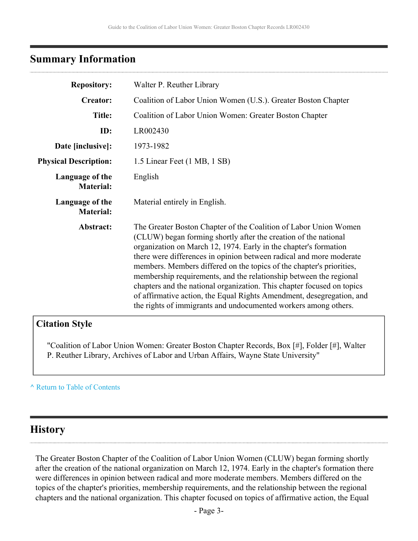# <span id="page-2-0"></span>**Summary Information**

| <b>Repository:</b>                  | Walter P. Reuther Library                                                                                                                                                                                                                                                                                                                                                                                                                                                                                                                                                                                                                          |  |  |  |
|-------------------------------------|----------------------------------------------------------------------------------------------------------------------------------------------------------------------------------------------------------------------------------------------------------------------------------------------------------------------------------------------------------------------------------------------------------------------------------------------------------------------------------------------------------------------------------------------------------------------------------------------------------------------------------------------------|--|--|--|
| <b>Creator:</b>                     | Coalition of Labor Union Women (U.S.). Greater Boston Chapter                                                                                                                                                                                                                                                                                                                                                                                                                                                                                                                                                                                      |  |  |  |
| <b>Title:</b>                       | Coalition of Labor Union Women: Greater Boston Chapter                                                                                                                                                                                                                                                                                                                                                                                                                                                                                                                                                                                             |  |  |  |
| ID:                                 | LR002430                                                                                                                                                                                                                                                                                                                                                                                                                                                                                                                                                                                                                                           |  |  |  |
| Date [inclusive]:                   | 1973-1982                                                                                                                                                                                                                                                                                                                                                                                                                                                                                                                                                                                                                                          |  |  |  |
| <b>Physical Description:</b>        | 1.5 Linear Feet (1 MB, 1 SB)                                                                                                                                                                                                                                                                                                                                                                                                                                                                                                                                                                                                                       |  |  |  |
| Language of the<br><b>Material:</b> | English                                                                                                                                                                                                                                                                                                                                                                                                                                                                                                                                                                                                                                            |  |  |  |
| Language of the<br><b>Material:</b> | Material entirely in English.                                                                                                                                                                                                                                                                                                                                                                                                                                                                                                                                                                                                                      |  |  |  |
| Abstract:                           | The Greater Boston Chapter of the Coalition of Labor Union Women<br>(CLUW) began forming shortly after the creation of the national<br>organization on March 12, 1974. Early in the chapter's formation<br>there were differences in opinion between radical and more moderate<br>members. Members differed on the topics of the chapter's priorities,<br>membership requirements, and the relationship between the regional<br>chapters and the national organization. This chapter focused on topics<br>of affirmative action, the Equal Rights Amendment, desegregation, and<br>the rights of immigrants and undocumented workers among others. |  |  |  |

### **Citation Style**

"Coalition of Labor Union Women: Greater Boston Chapter Records, Box [#], Folder [#], Walter P. Reuther Library, Archives of Labor and Urban Affairs, Wayne State University"

#### **^** [Return to Table of Contents](#page-1-0)

### <span id="page-2-1"></span>**History**

The Greater Boston Chapter of the Coalition of Labor Union Women (CLUW) began forming shortly after the creation of the national organization on March 12, 1974. Early in the chapter's formation there were differences in opinion between radical and more moderate members. Members differed on the topics of the chapter's priorities, membership requirements, and the relationship between the regional chapters and the national organization. This chapter focused on topics of affirmative action, the Equal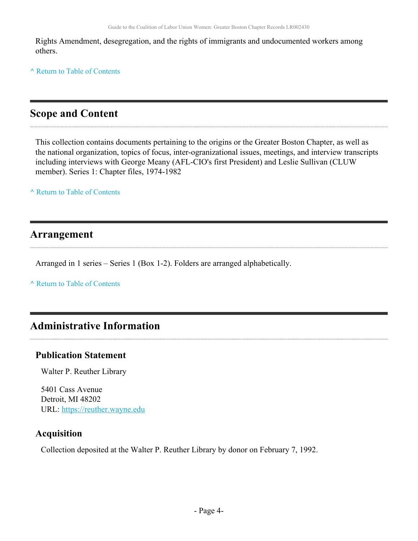Rights Amendment, desegregation, and the rights of immigrants and undocumented workers among others.

**^** [Return to Table of Contents](#page-1-0)

# <span id="page-3-0"></span>**Scope and Content**

This collection contains documents pertaining to the origins or the Greater Boston Chapter, as well as the national organization, topics of focus, inter-ogranizational issues, meetings, and interview transcripts including interviews with George Meany (AFL-CIO's first President) and Leslie Sullivan (CLUW member). Series 1: Chapter files, 1974-1982

**^** [Return to Table of Contents](#page-1-0)

### <span id="page-3-1"></span>**Arrangement**

Arranged in 1 series – Series 1 (Box 1-2). Folders are arranged alphabetically.

**^** [Return to Table of Contents](#page-1-0)

# <span id="page-3-2"></span>**Administrative Information**

#### **Publication Statement**

Walter P. Reuther Library

5401 Cass Avenue Detroit, MI 48202 URL:<https://reuther.wayne.edu>

#### **Acquisition**

Collection deposited at the Walter P. Reuther Library by donor on February 7, 1992.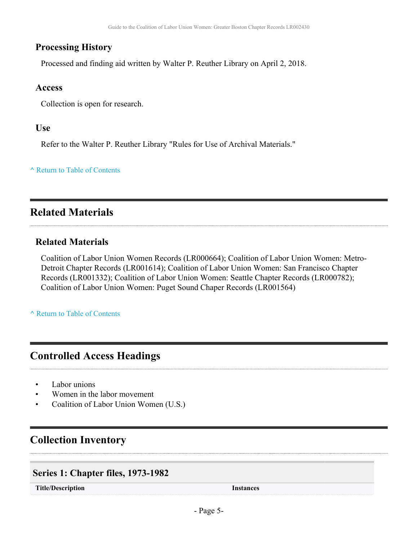### **Processing History**

Processed and finding aid written by Walter P. Reuther Library on April 2, 2018.

#### **Access**

Collection is open for research.

#### **Use**

Refer to the Walter P. Reuther Library "Rules for Use of Archival Materials."

#### **^** [Return to Table of Contents](#page-1-0)

# <span id="page-4-0"></span>**Related Materials**

#### **Related Materials**

Coalition of Labor Union Women Records (LR000664); Coalition of Labor Union Women: Metro-Detroit Chapter Records (LR001614); Coalition of Labor Union Women: San Francisco Chapter Records (LR001332); Coalition of Labor Union Women: Seattle Chapter Records (LR000782); Coalition of Labor Union Women: Puget Sound Chaper Records (LR001564)

**^** [Return to Table of Contents](#page-1-0)

# <span id="page-4-1"></span>**Controlled Access Headings**

- Labor unions
- Women in the labor movement
- Coalition of Labor Union Women (U.S.)

# <span id="page-4-2"></span>**Collection Inventory**

#### <span id="page-4-3"></span>**Series 1: Chapter files, 1973-1982**

**Title/Description Instances**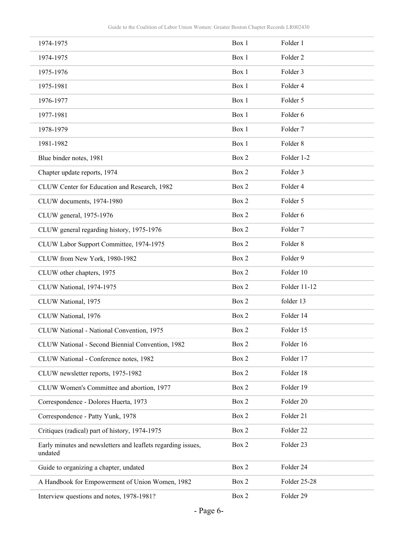| 1974-1975                                                               | Box 1 | Folder 1            |
|-------------------------------------------------------------------------|-------|---------------------|
| 1974-1975                                                               | Box 1 | Folder <sub>2</sub> |
| 1975-1976                                                               | Box 1 | Folder 3            |
| 1975-1981                                                               | Box 1 | Folder 4            |
| 1976-1977                                                               | Box 1 | Folder 5            |
| 1977-1981                                                               | Box 1 | Folder 6            |
| 1978-1979                                                               | Box 1 | Folder <sub>7</sub> |
| 1981-1982                                                               | Box 1 | Folder <sub>8</sub> |
| Blue binder notes, 1981                                                 | Box 2 | Folder 1-2          |
| Chapter update reports, 1974                                            | Box 2 | Folder 3            |
| CLUW Center for Education and Research, 1982                            | Box 2 | Folder 4            |
| CLUW documents, 1974-1980                                               | Box 2 | Folder 5            |
| CLUW general, 1975-1976                                                 | Box 2 | Folder 6            |
| CLUW general regarding history, 1975-1976                               | Box 2 | Folder 7            |
| CLUW Labor Support Committee, 1974-1975                                 | Box 2 | Folder <sub>8</sub> |
| CLUW from New York, 1980-1982                                           | Box 2 | Folder 9            |
| CLUW other chapters, 1975                                               | Box 2 | Folder 10           |
| CLUW National, 1974-1975                                                | Box 2 | Folder 11-12        |
| CLUW National, 1975                                                     | Box 2 | folder 13           |
| CLUW National, 1976                                                     | Box 2 | Folder 14           |
| CLUW National - National Convention, 1975                               | Box 2 | Folder 15           |
| CLUW National - Second Biennial Convention, 1982                        | Box 2 | Folder 16           |
| CLUW National - Conference notes, 1982                                  | Box 2 | Folder 17           |
| CLUW newsletter reports, 1975-1982                                      | Box 2 | Folder 18           |
| CLUW Women's Committee and abortion, 1977                               | Box 2 | Folder 19           |
| Correspondence - Dolores Huerta, 1973                                   | Box 2 | Folder 20           |
| Correspondence - Patty Yunk, 1978                                       | Box 2 | Folder 21           |
| Critiques (radical) part of history, 1974-1975                          | Box 2 | Folder 22           |
| Early minutes and newsletters and leaflets regarding issues,<br>undated | Box 2 | Folder 23           |
| Guide to organizing a chapter, undated                                  | Box 2 | Folder 24           |
| A Handbook for Empowerment of Union Women, 1982                         | Box 2 | Folder 25-28        |
| Interview questions and notes, 1978-1981?                               | Box 2 | Folder 29           |